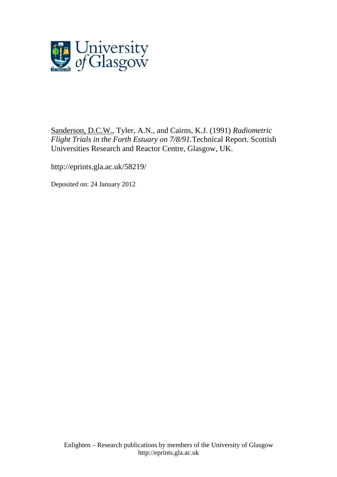

[Sanderson, D.C.W.](http://eprints.gla.ac.uk/view/author/3913.html), Tyler, A.N., and Cairns, K.J. (1991) *Radiometric Flight Trials in the Forth Estuary on 7/8/91.*Technical Report. Scottish Universities Research and Reactor Centre, Glasgow, UK.

<http://eprints.gla.ac.uk/58219/>

Deposited on: 24 January 2012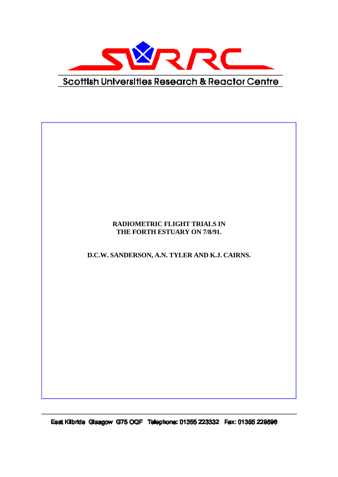

## **RADIOMETRIC FLIGHT TRIALS IN THE FORTH ESTUARY ON 7/8/91.**

**D.C.W. SANDERSON, A.N. TYLER AND K.J. CAIRNS.**

East Kilbride Glasgow G75 OQF Talephone: 01355 223332 Fax: 01355 229896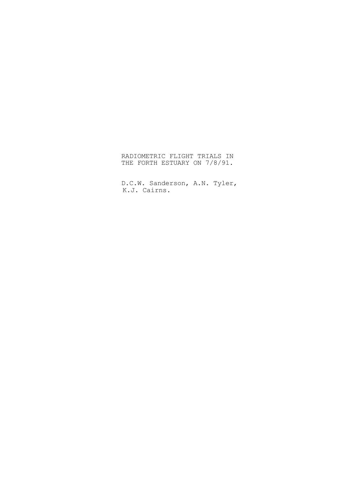RADIOMETRIC FLIGHT TRIALS IN THE FORTH ESTUARY ON 7/8/91.

D.C.W. Sanderson, A.N. Tyler, K.J. Cairns.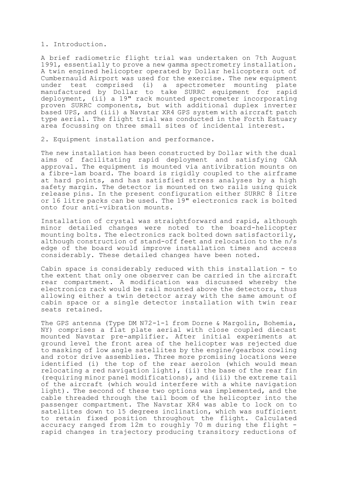## 1. Introduction.

A brief radiometric flight trial was undertaken on 7th August 1991, essentially to prove a new gamma spectrometry installation. A twin engined helicopter operated by Dollar helicopters out of Cumbernauld Airport was used for the exercise. The new equipment under test comprised (i) a spectrometer mounting plate manufactured by Dollar to take SURRC equipment for rapid deployment, (ii) a 19" rack mounted spectrometer incorporating proven SURRC components, but with additional duplex inverter based UPS, and (iii) a Navstar XR4 GPS system with aircraft patch type aerial. The flight trial was conducted in the Forth Estuary area focussing on three small sites of incidental interest.

2. Equipment installation and performance.

The new installation has been constructed by Dollar with the dual aims of facilitating rapid deployment and satisfying CAA approval. The equipment is mounted via antivibration mounts on a fibre-lam board. The board is rigidly coupled to the airframe at hard points, and has satisfied stress analyses by a high safety margin. The detector is mounted on two rails using quick release pins. In the present configuration either SURRC 8 litre or 16 litre packs can be used. The 19" electronics rack is bolted onto four anti-vibration mounts.

Installation of crystal was straightforward and rapid, although minor detailed changes were noted to the board-helicopter mounting bolts. The electronics rack bolted down satisfactorily, although construction of stand-off feet and relocation to the n/s edge of the board would improve installation times and access considerably. These detailed changes have been noted.

Cabin space is considerably reduced with this installation - to the extent that only one observer can be carried in the aircraft rear compartment. A modification was discussed whereby the electronics rack would be rail mounted above the detectors, thus allowing either a twin detector array with the same amount of cabin space or a single detector installation with twin rear seats retained.

The GPS antenna (Type DM N72-1-1 from Dorne & Margolin, Bohemia, NY) comprises a flat plate aerial with close coupled diecast mounted Navstar pre-amplifier. After initial experiments at ground level the front area of the helicopter was rejected due to masking of low angle satellites by the engine/gearbox cowling and rotor drive assemblies. Three more promising locations were identified (i) the top of the rear aerolon (which would mean relocating a red navigation light), (ii) the base of the rear fin (requiring minor panel modifications), and (iii) the extreme tail of the aircraft (which would interfere with a white navigation light). The second of these two options was implemented, and the cable threaded through the tail boom of the helicopter into the passenger compartment. The Navstar XR4 was able to lock on to satellites down to 15 degrees inclination, which was sufficient to retain fixed position throughout the flight. Calculated accuracy ranged from 12m to roughly 70 m during the flight rapid changes in trajectory producing transitory reductions of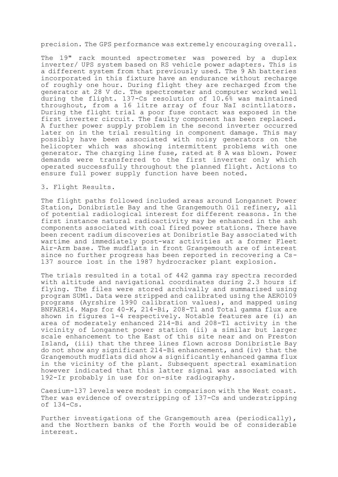precision. The GPS performance was extremely encouraging overall.

The 19" rack mounted spectrometer was powered by a duplex inverter/ UPS system based on RS vehicle power adapters. This is a different system from that previously used. The 9 Ah batteries incorporated in this fixture have an endurance without recharge of roughly one hour. During flight they are recharged from the generator at 28 V dc. The spectrometer and computer worked well during the flight. 137-Cs resolution of 10.6% was maintained throughout, from a 16 litre array of four NaI scintllators. During the flight trial a poor fuse contact was exposed in the first inverter circuit. The faulty component has been replaced. A further power supply problem in the second inverter occurred later on in the trial resulting in component damage. This may possibly have been associated with noisy generators on the helicopter which was showing intermittent problems with one generator. The charging line fuse, rated at 8 A was blown. Power demands were transferred to the first inverter only which operated successfully throughout the planned flight. Actions to ensure full power supply function have been noted.

## 3. Flight Results.

The flight paths followed included areas around Longannet Power Station, Donibristle Bay and the Grangemouth Oil refinery, all of potential radiological interest for different reasons. In the first instance natural radioactivity may be enhanced in the ash components associated with coal fired power stations. There have been recent radium discoveries at Donibristle Bay associated with wartime and immediately post-war activities at a former Fleet Air-Arm base. The mudflats in front Grangemouth are of interest since no further progress has been reported in recovering a Cs-137 source lost in the 1987 hydrocracker plant explosion.

The trials resulted in a total of 442 gamma ray spectra recorded with altitude and navigational coordinates during 2.3 hours if flying. The files were stored archivally and summarised using program SUM1. Data were stripped and calibrated using the AERO109 programs (Ayrshire 1990 calibration values), and mapped using BNFAER14. Maps for 40-K, 214-Bi, 208-Tl and Total gamma flux are shown in figures 1-4 respectively. Notable features are (i) an area of moderately enhanced 214-Bi and 208-Tl activity in the vicinity of Longannet power station (ii) a similar but larger scale enhancement to the East of this site near and on Preston Island, (iii) that the three lines flown across Donibristle Bay do not show any significant 214-Bi enhancement, and (iv) that the Grangemouth mudflats did show a significantly enhanced gamma flux in the vicinity of the plant. Subsequent spectral examination however indicated that this latter signal was associated with 192-Ir probably in use for on-site radiography.

Caesium-137 levels were modest in comparison with the West coast. Ther was evidence of overstripping of 137-Cs and understripping of 134-Cs.

Further investigations of the Grangemouth area (periodically), and the Northern banks of the Forth would be of considerable interest.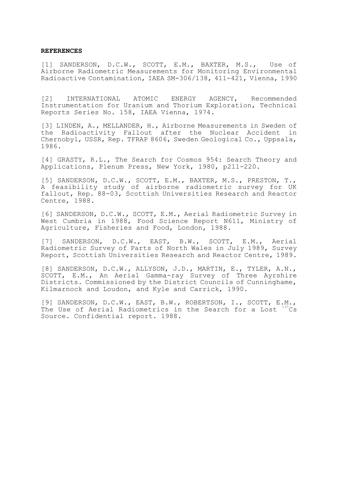## **REFERENCES**

[1] SANDERSON, D.C.W., SCOTT, E.M., BAXTER, M.S., Use of Airborne Radiometric Measurements for Monitoring Environmental Radioactive Contamination, IAEA SM-306/138, 411-421, Vienna, 1990

[2] INTERNATIONAL ATOMIC ENERGY AGENCY, Recommended Instrumentation for Uranium and Thorium Exploration, Technical Reports Series No. 158, IAEA Vienna, 1974.

[3] LINDEN, A., MELLANDER, H., Airborne Measurements in Sweden of the Radioactivity Fallout after the Nuclear Accident in Chernobyl, USSR, Rep. TFRAP 8606, Sweden Geological Co., Uppsala, 1986.

[4] GRASTY, R.L., The Search for Cosmos 954: Search Theory and Applications, Plenum Press, New York, 1980, p211-220.

[5] SANDERSON, D.C.W., SCOTT, E.M., BAXTER, M.S., PRESTON, T., A feasibility study of airborne radiometric survey for UK fallout, Rep. 88-03, Scottish Universities Research and Reactor Centre, 1988.

[6] SANDERSON, D.C.W., SCOTT, E.M., Aerial Radiometric Survey in West Cumbria in 1988, Food Science Report N611, Ministry of Agriculture, Fisheries and Food, London, 1988.

[7] SANDERSON, D.C.W., EAST, B.W., SCOTT, E.M., Aerial Radiometric Survey of Parts of North Wales in July 1989, Survey Report, Scottish Universities Research and Reactor Centre, 1989.

[8] SANDERSON, D.C.W., ALLYSON, J.D., MARTIN, E., TYLER, A.N., SCOTT, E.M., An Aerial Gamma-ray Survey of Three Ayrshire Districts. Commissioned by the District Councils of Cunninghame, Kilmarnock and Loudon, and Kyle and Carrick, 1990.

[9] SANDERSON, D.C.W., EAST, B.W., ROBERTSON, I., SCOTT, E.M., The Use of Aerial Radiometrics in the Search for a Lost  $137$ Cs Source. Confidential report. 1988.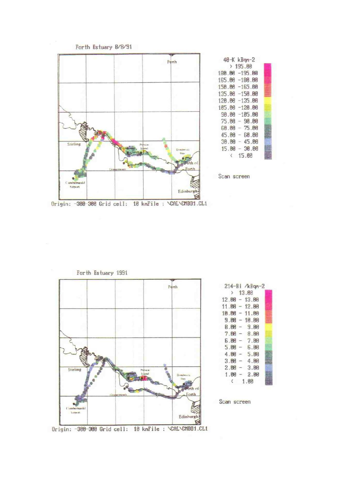





|  | 2 13.88         |  |
|--|-----------------|--|
|  | $12.00 - 13.00$ |  |
|  | $11.98 - 12.99$ |  |
|  | $10.00 - 11.00$ |  |
|  | $9.86 - 10.80$  |  |
|  | $B.M - 9.M$     |  |
|  | $7.66 - 8.66$   |  |
|  | $6.00 - 7.00$   |  |
|  | $5.06 - 6.00$   |  |
|  | $4.00 - 5.00$   |  |
|  | $3.00 - 4.00$   |  |
|  | $2.00 - 3.00$   |  |
|  | $1.00 - 2.00$   |  |
|  | (1.86)          |  |

Scan screen

Origin: -300-300 Grid cell: 10 kmFile: \CAL\CMBD1.CL1